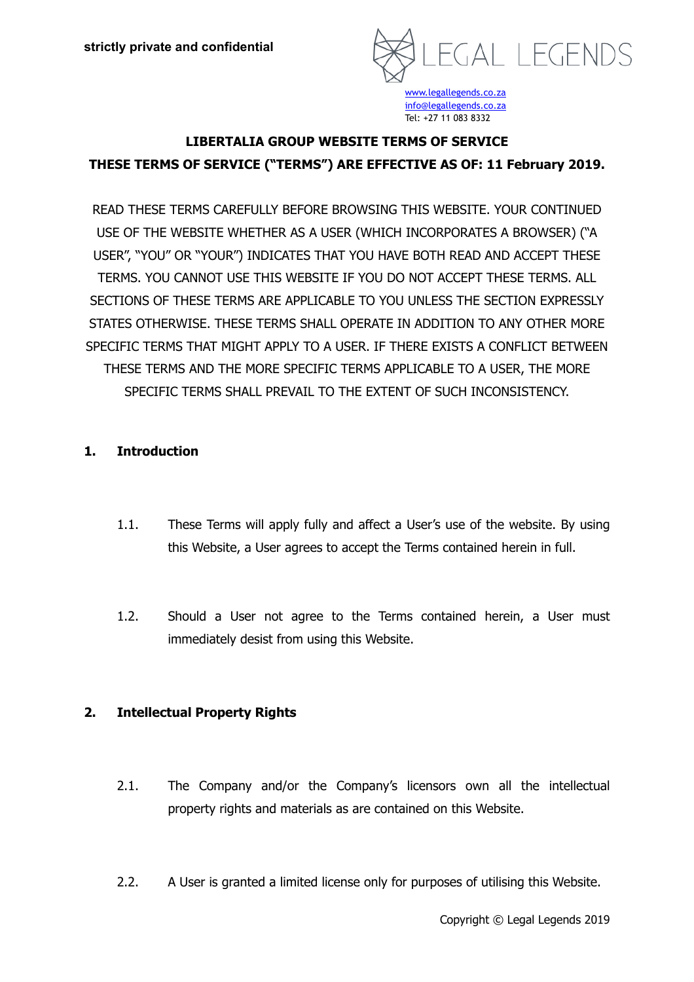

# **LIBERTALIA GROUP WEBSITE TERMS OF SERVICE THESE TERMS OF SERVICE ("TERMS") ARE EFFECTIVE AS OF: 11 February 2019.**

READ THESE TERMS CAREFULLY BEFORE BROWSING THIS WEBSITE. YOUR CONTINUED USE OF THE WEBSITE WHETHER AS A USER (WHICH INCORPORATES A BROWSER) ("A USER", "YOU" OR "YOUR") INDICATES THAT YOU HAVE BOTH READ AND ACCEPT THESE TERMS. YOU CANNOT USE THIS WEBSITE IF YOU DO NOT ACCEPT THESE TERMS. ALL SECTIONS OF THESE TERMS ARE APPLICABLE TO YOU UNLESS THE SECTION EXPRESSLY STATES OTHERWISE. THESE TERMS SHALL OPERATE IN ADDITION TO ANY OTHER MORE SPECIFIC TERMS THAT MIGHT APPLY TO A USER. IF THERE EXISTS A CONFLICT BETWEEN THESE TERMS AND THE MORE SPECIFIC TERMS APPLICABLE TO A USER, THE MORE SPECIFIC TERMS SHALL PREVAIL TO THE EXTENT OF SUCH INCONSISTENCY.

## **1. Introduction**

- 1.1. These Terms will apply fully and affect a User's use of the website. By using this Website, a User agrees to accept the Terms contained herein in full.
- 1.2. Should a User not agree to the Terms contained herein, a User must immediately desist from using this Website.

## **2. Intellectual Property Rights**

- 2.1. The Company and/or the Company's licensors own all the intellectual property rights and materials as are contained on this Website.
- 2.2. A User is granted a limited license only for purposes of utilising this Website.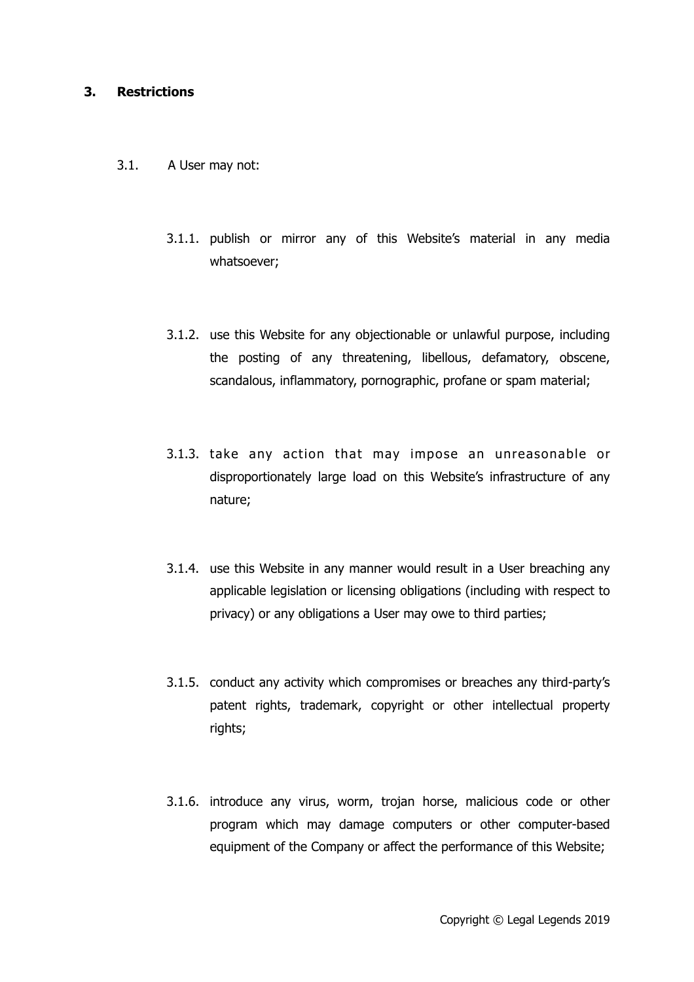#### **3. Restrictions**

- 3.1. A User may not:
	- 3.1.1. publish or mirror any of this Website's material in any media whatsoever;
	- 3.1.2. use this Website for any objectionable or unlawful purpose, including the posting of any threatening, libellous, defamatory, obscene, scandalous, inflammatory, pornographic, profane or spam material;
	- 3.1.3. take any action that may impose an unreasonable or disproportionately large load on this Website's infrastructure of any nature;
	- 3.1.4. use this Website in any manner would result in a User breaching any applicable legislation or licensing obligations (including with respect to privacy) or any obligations a User may owe to third parties;
	- 3.1.5. conduct any activity which compromises or breaches any third-party's patent rights, trademark, copyright or other intellectual property rights;
	- 3.1.6. introduce any virus, worm, trojan horse, malicious code or other program which may damage computers or other computer-based equipment of the Company or affect the performance of this Website;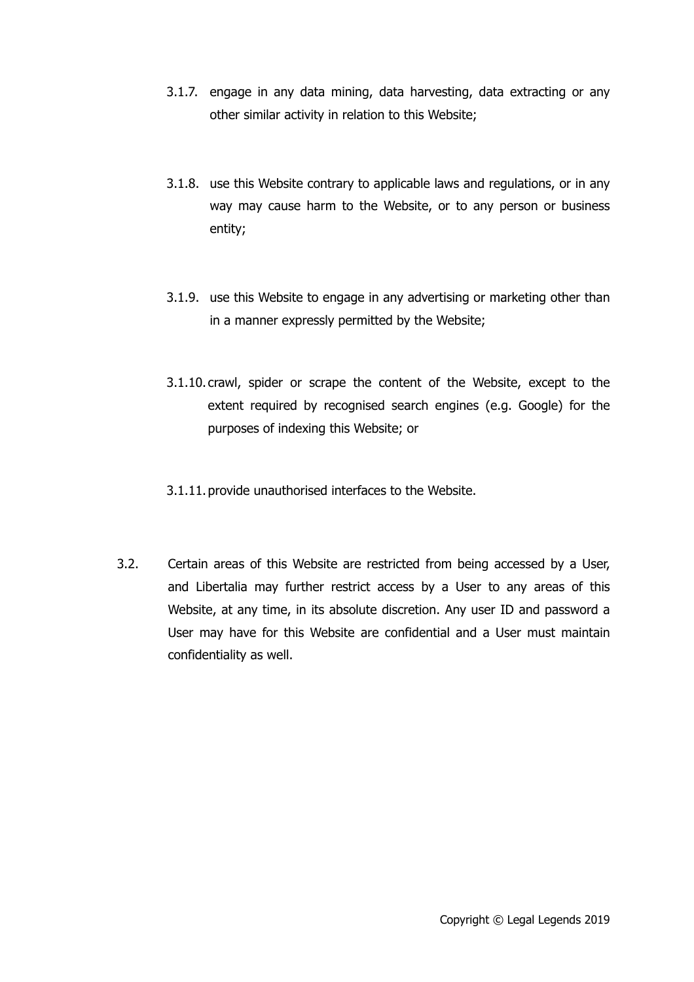- 3.1.7. engage in any data mining, data harvesting, data extracting or any other similar activity in relation to this Website;
- 3.1.8. use this Website contrary to applicable laws and regulations, or in any way may cause harm to the Website, or to any person or business entity;
- 3.1.9. use this Website to engage in any advertising or marketing other than in a manner expressly permitted by the Website;
- 3.1.10. crawl, spider or scrape the content of the Website, except to the extent required by recognised search engines (e.g. Google) for the purposes of indexing this Website; or
- 3.1.11.provide unauthorised interfaces to the Website.
- 3.2. Certain areas of this Website are restricted from being accessed by a User, and Libertalia may further restrict access by a User to any areas of this Website, at any time, in its absolute discretion. Any user ID and password a User may have for this Website are confidential and a User must maintain confidentiality as well.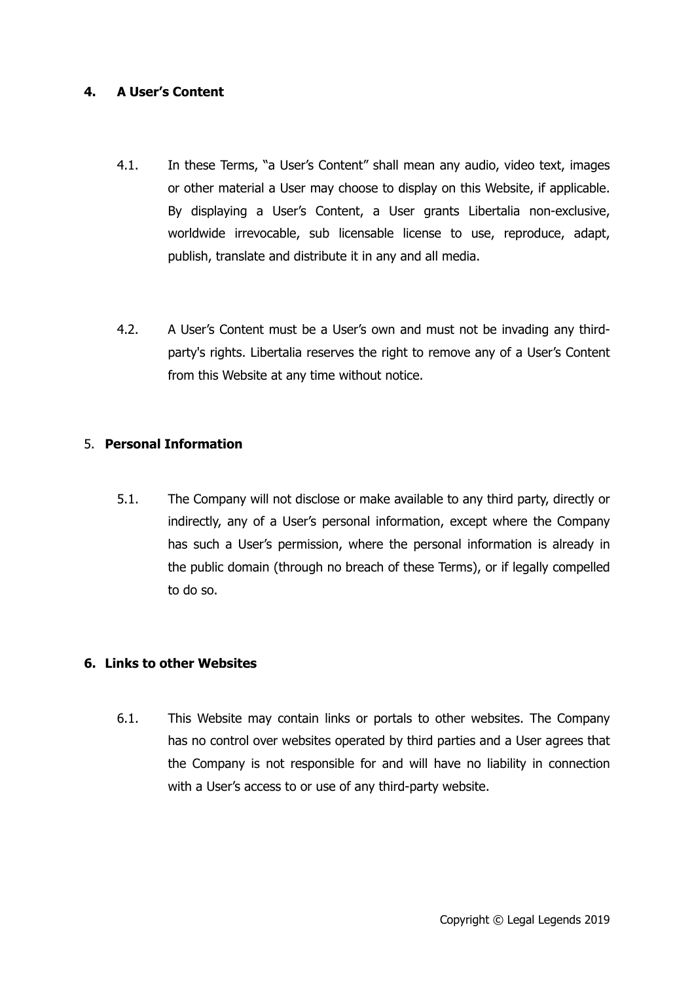## **4. A User's Content**

- 4.1. In these Terms, "a User's Content" shall mean any audio, video text, images or other material a User may choose to display on this Website, if applicable. By displaying a User's Content, a User grants Libertalia non-exclusive, worldwide irrevocable, sub licensable license to use, reproduce, adapt, publish, translate and distribute it in any and all media.
- 4.2. A User's Content must be a User's own and must not be invading any thirdparty's rights. Libertalia reserves the right to remove any of a User's Content from this Website at any time without notice.

## 5. **Personal Information**

5.1. The Company will not disclose or make available to any third party, directly or indirectly, any of a User's personal information, except where the Company has such a User's permission, where the personal information is already in the public domain (through no breach of these Terms), or if legally compelled to do so.

## **6. Links to other Websites**

6.1. This Website may contain links or portals to other websites. The Company has no control over websites operated by third parties and a User agrees that the Company is not responsible for and will have no liability in connection with a User's access to or use of any third-party website.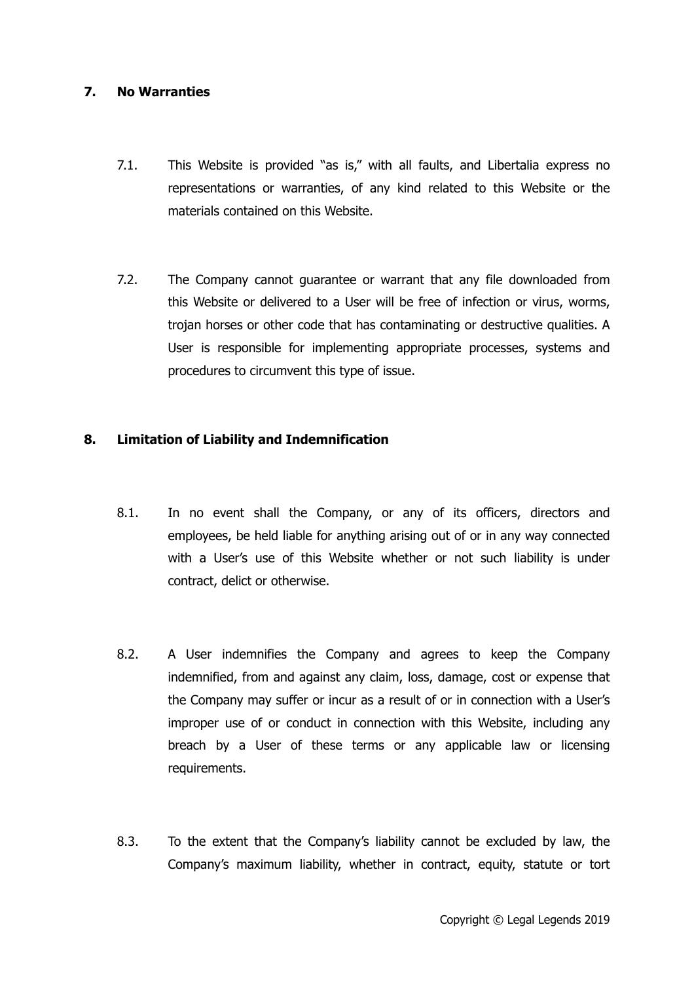# **7. No Warranties**

- 7.1. This Website is provided "as is," with all faults, and Libertalia express no representations or warranties, of any kind related to this Website or the materials contained on this Website.
- 7.2. The Company cannot guarantee or warrant that any file downloaded from this Website or delivered to a User will be free of infection or virus, worms, trojan horses or other code that has contaminating or destructive qualities. A User is responsible for implementing appropriate processes, systems and procedures to circumvent this type of issue.

## **8. Limitation of Liability and Indemnification**

- 8.1. In no event shall the Company, or any of its officers, directors and employees, be held liable for anything arising out of or in any way connected with a User's use of this Website whether or not such liability is under contract, delict or otherwise.
- 8.2. A User indemnifies the Company and agrees to keep the Company indemnified, from and against any claim, loss, damage, cost or expense that the Company may suffer or incur as a result of or in connection with a User's improper use of or conduct in connection with this Website, including any breach by a User of these terms or any applicable law or licensing requirements.
- 8.3. To the extent that the Company's liability cannot be excluded by law, the Company's maximum liability, whether in contract, equity, statute or tort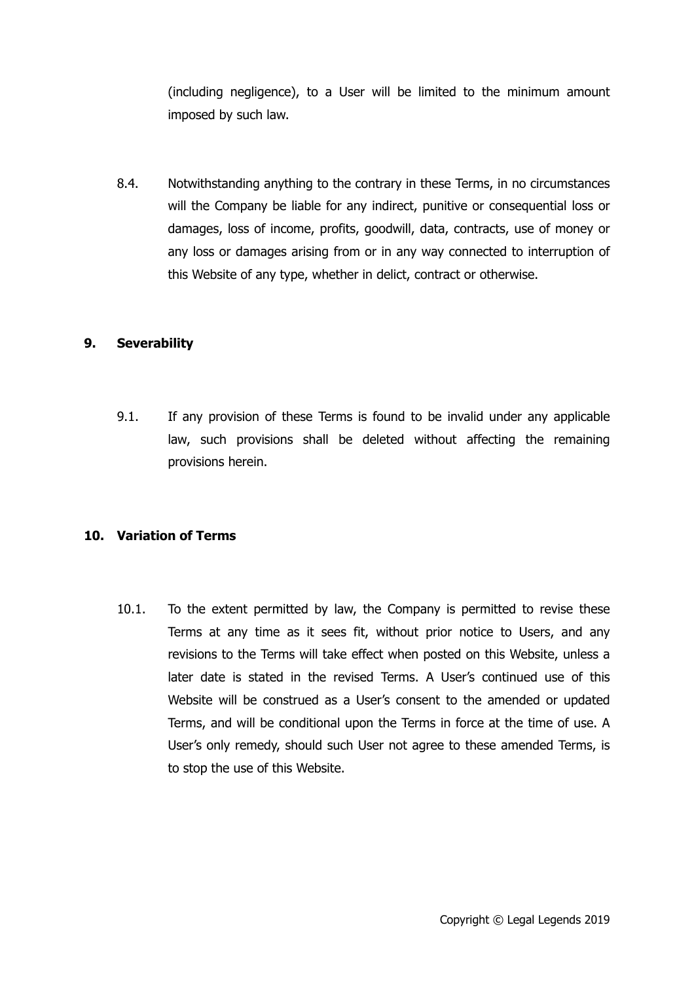(including negligence), to a User will be limited to the minimum amount imposed by such law.

8.4. Notwithstanding anything to the contrary in these Terms, in no circumstances will the Company be liable for any indirect, punitive or consequential loss or damages, loss of income, profits, goodwill, data, contracts, use of money or any loss or damages arising from or in any way connected to interruption of this Website of any type, whether in delict, contract or otherwise.

## **9. Severability**

9.1. If any provision of these Terms is found to be invalid under any applicable law, such provisions shall be deleted without affecting the remaining provisions herein.

#### **10. Variation of Terms**

10.1. To the extent permitted by law, the Company is permitted to revise these Terms at any time as it sees fit, without prior notice to Users, and any revisions to the Terms will take effect when posted on this Website, unless a later date is stated in the revised Terms. A User's continued use of this Website will be construed as a User's consent to the amended or updated Terms, and will be conditional upon the Terms in force at the time of use. A User's only remedy, should such User not agree to these amended Terms, is to stop the use of this Website.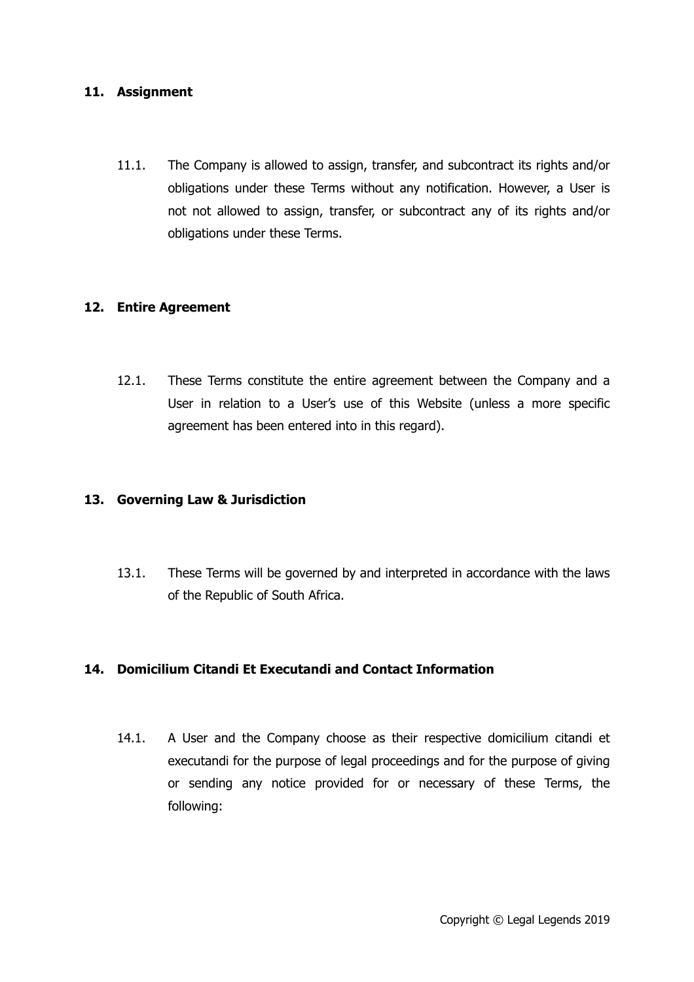#### **11. Assignment**

11.1. The Company is allowed to assign, transfer, and subcontract its rights and/or obligations under these Terms without any notification. However, a User is not not allowed to assign, transfer, or subcontract any of its rights and/or obligations under these Terms.

## **12. Entire Agreement**

12.1. These Terms constitute the entire agreement between the Company and a User in relation to a User's use of this Website (unless a more specific agreement has been entered into in this regard).

#### **13. Governing Law & Jurisdiction**

13.1. These Terms will be governed by and interpreted in accordance with the laws of the Republic of South Africa.

## **14. Domicilium Citandi Et Executandi and Contact Information**

14.1. A User and the Company choose as their respective domicilium citandi et executandi for the purpose of legal proceedings and for the purpose of giving or sending any notice provided for or necessary of these Terms, the following: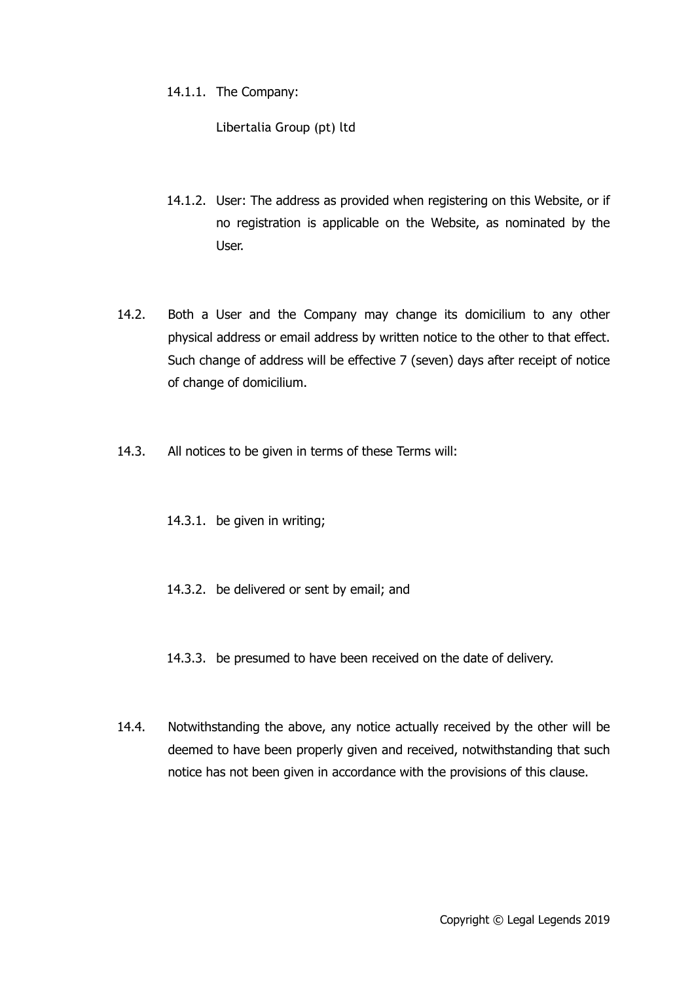14.1.1. The Company:

Libertalia Group (pt) ltd

- 14.1.2. User: The address as provided when registering on this Website, or if no registration is applicable on the Website, as nominated by the User.
- 14.2. Both a User and the Company may change its domicilium to any other physical address or email address by written notice to the other to that effect. Such change of address will be effective 7 (seven) days after receipt of notice of change of domicilium.
- 14.3. All notices to be given in terms of these Terms will:
	- 14.3.1. be given in writing;
	- 14.3.2. be delivered or sent by email; and
	- 14.3.3. be presumed to have been received on the date of delivery.
- 14.4. Notwithstanding the above, any notice actually received by the other will be deemed to have been properly given and received, notwithstanding that such notice has not been given in accordance with the provisions of this clause.